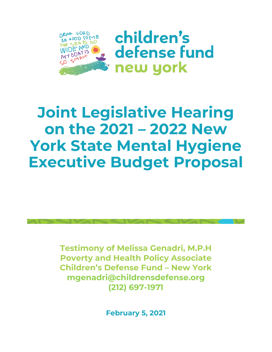

children's defense fund new york

# **Joint Legislative Hearing on the 2021 – 2022 New York State Mental Hygiene Executive Budget Proposal**

**Testimony of Melissa Genadri, M.P.H Poverty and Health Policy Associate Children's Defense Fund – New York mgenadri@childrensdefense.org (212) 697-1971**

**February 5, 2021**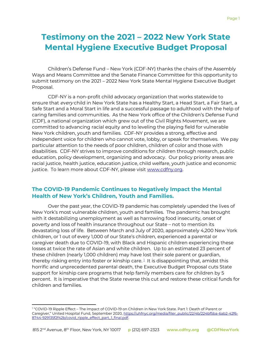# **Testimony on the 2021 – 2022 New York State Mental Hygiene Executive Budget Proposal**

Children's Defense Fund – New York (CDF-NY) thanks the chairs of the Assembly Ways and Means Committee and the Senate Finance Committee for this opportunity to submit testimony on the 2021 – 2022 New York State Mental Hygiene Executive Budget Proposal.

CDF-NY is a non-profit child advocacy organization that works statewide to ensure that every child in New York State has a Healthy Start, a Head Start, a Fair Start, a Safe Start and a Moral Start in life and a successful passage to adulthood with the help of caring families and communities. As the New York office of the Children's Defense Fund (CDF), a national organization which grew out of the Civil Rights Movement, we are committed to advancing racial equity and to leveling the playing field for vulnerable New York children, youth and families. CDF-NY provides a strong, effective and independent voice for children who cannot vote, lobby, or speak for themselves. We pay particular attention to the needs of poor children, children of color and those with disabilities. CDF-NY strives to improve conditions for children through research, public education, policy development, organizing and advocacy. Our policy priority areas are racial justice, health justice, education justice, child welfare, youth justice and economic justice. To learn more about CDF-NY, please visit [www.cdfny.org.](http://www.cdfny.org/)

# **The COVID-19 Pandemic Continues to Negatively Impact the Mental Health of New York's Children, Youth and Families.**

Over the past year, the COVID-19 pandemic has completely upended the lives of New York's most vulnerable children, youth and families. The pandemic has brought with it destabilizing unemployment as well as harrowing food insecurity, onset of poverty and loss of health insurance throughout our State – not to mention its devastating loss of life. Between March and July of 2020, approximately 4,200 New York children, or 1 out of every 1,000 of our State's children, experienced a parental or caregiver death due to COVID-19, with Black and Hispanic children experiencing these losses at twice the rate of Asian and white children. Up to an estimated 23 percent of these children (nearly 1,000 children) may have lost their sole parent or guardian, therebyrisking entry into foster or kinship care. $^{\rm 1}$  It is disappointing that, amidst this horrific and unprecedented parental death, the Executive Budget Proposal cuts State support for kinship care programs that help family members care for children by 5 percent. It is imperative that the State reverse this cut and restore these critical funds for children and families.

<span id="page-1-0"></span><sup>1</sup> "COVID-19 Ripple Effect – The Impact of COVID-19 on Children in New York State. Part 1: Death of Parent or Caregiver," United Hospital Fund, September 2020, [https://uhfnyc.org/media/filer\\_public/22/4b/224bf5ba-6ab2-42f6-](https://uhfnyc.org/media/filer_public/22/4b/224bf5ba-6ab2-42f6-8744-929135f2f42b/covid_ripple_effect_part_1_final.pdf) [8744-929135f2f42b/covid\\_ripple\\_effect\\_part\\_1\\_final.pdf.](https://uhfnyc.org/media/filer_public/22/4b/224bf5ba-6ab2-42f6-8744-929135f2f42b/covid_ripple_effect_part_1_final.pdf)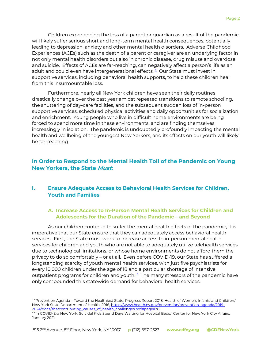Children experiencing the loss of a parent or guardian as a result of the pandemic will likely suffer serious short and long-term mental health consequences, potentially leading to depression, anxiety and other mental health disorders. Adverse Childhood Experiences (ACEs) such as the death of a parent or caregiver are an underlying factor in not only mental health disorders but also in chronic disease, drug misuse and overdose, and suicide. Effects of ACEs are far-reaching, can negatively affect a person's life as an adultand could even have intergenerational effects.<sup>2</sup> Our State must invest in supportive services, including behavioral health supports, to help these children heal from this insurmountable loss.

Furthermore, nearly all New York children have seen their daily routines drastically change over the past year amidst repeated transitions to remote schooling, the shuttering of day-care facilities, and the subsequent sudden loss of in-person supportive services, scheduled physical activities and daily opportunities for socialization and enrichment. Young people who live in difficult home environments are being forced to spend more time in these environments, and are finding themselves increasingly in isolation. The pandemic is undoubtedly profoundly impacting the mental health and wellbeing of the youngest New Yorkers, and its effects on our youth will likely be far-reaching.

# **In Order to Respond to the Mental Health Toll of the Pandemic on Young New Yorkers, the State Must:**

#### **I. Ensure Adequate Access to Behavioral Health Services for Children, Youth and Families**

#### **A. Increase Access to In-Person Mental Health Services for Children and Adolescents for the Duration of the Pandemic – and Beyond**

As our children continue to suffer the mental health effects of the pandemic, it is imperative that our State ensure that they can adequately access behavioral health services. First, the State must work to increase access to in-person mental health services for children and youth who are not able to adequately utilize telehealth services due to technological limitations, or whose home environments do not afford them the privacy to do so comfortably – or at all. Even before COVID-19, our State has suffered a longstanding scarcity of youth mental health services, with just five psychiatrists for every 10,000 children under the age of 18 and a particular shortage of intensive outpatientprograms for children and youth.  $^{\text{\tiny 3}}$  The many stressors of the pandemic have only compounded this statewide demand for behavioral health services.

<span id="page-2-0"></span><sup>2</sup> "Prevention Agenda – Toward the Healthiest State. Progress Report 2018: Health of Women, Infants and Children," New York State Department of Health, 2018, [https://www.health.ny.gov/prevention/prevention\\_agenda/2019-](https://www.health.ny.gov/prevention/prevention_agenda/2019-2024/docs/sha/contributing_causes_of_health_challenges.pdf#page=78)

<span id="page-2-1"></span>[<sup>2024/</sup>docs/sha/contributing\\_causes\\_of\\_health\\_challenges.pdf#page=78.](https://www.health.ny.gov/prevention/prevention_agenda/2019-2024/docs/sha/contributing_causes_of_health_challenges.pdf#page=78)<br><sup>3</sup> "In COVID-Era New York, Suicidal Kids Spend Days Waiting for Hospital Beds," Center for New York City Affairs, January 2021,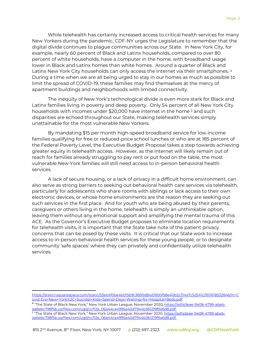While telehealth has certainly increased access to critical health services for many New Yorkers during the pandemic, CDF-NY urges the Legislature to remember that the digital divide continues to plague communities across our State. In New York City, for example, nearly 60 percent of Black and Latinx households, compared to over 80 percent of white households, have a computer in the home, with broadband usage lower in Black and Latinx homes than white homes. Around a quarter of Black and Latinx New York City households can only access the Internet via their smartphones. [4](#page-3-0) During a time when we are all being urged to stay in our homes as much as possible to limit the spread of COVID-19, these families may find themselves at the mercy of apartment buildings and neighborhoods with limited connectivity.

The inequity of New York's technological divide is even more stark for Black and Latinx families living in poverty and deep poverty. Only 54 percent of all New York City households with incomes under \$20,000 have internet in the home  $\frac{5}{2}$  $\frac{5}{2}$  $\frac{5}{2}$  and such disparities are echoed throughout our State, making telehealth services simply unattainable for the most vulnerable New Yorkers.

By mandating \$15 per month high-speed broadband service for low-income families qualifying for free or reduced-price school lunches or who are at 185 percent of the Federal Poverty Level, the Executive Budget Proposal takes a step towards achieving greater equity in telehealth access. However, as the internet will likely remain out of reach for families already struggling to pay rent or put food on the table, the most vulnerable New York families will still need access to in-person behavioral health services.

A lack of secure housing, or a lack of privacy in a difficult home environment, can also serve as strong barriers to seeking out behavioral health care services via telehealth, particularly for adolescents who share rooms with siblings or lack access to their own electronic devices, or whose home environments are the reason they are seeking out such services in the first place. And for youth who are being abused by their parents, caregivers or others living in the home, telehealth is simply an unthinkable option, leaving them without any emotional support and amplifying the mental trauma of this ACE. As the Governor's Executive Budget proposes to eliminate location requirements for telehealth visits, it is important that the State take note of the patient privacy concerns that can be posed by these visits. It is critical that our State work to increase access to in-person behavioral health services for these young people, or to designate community 'safe spaces' where they can privately and confidentially utilize telehealth services.

<span id="page-3-0"></span><sup>4</sup> "The State of Black New York," New York Urban League, November 2020, <u>https://ad1a3eae-9408-4799-abeb-</u> [aa6ebc798f5b.usrfiles.com/ugd/ccf12e\\_06a44ca4995a40d7944b361219f9a6d8.pdf.](https://ad1a3eae-9408-4799-abeb-aa6ebc798f5b.usrfiles.com/ugd/ccf12e_06a44ca4995a40d7944b361219f9a6d8.pdf)

<span id="page-3-1"></span><sup>5</sup> "The State of Black New York," New York Urban League, November 2020, <u>https://ad1a3eae-9408-4799-abeb-</u> [aa6ebc798f5b.usrfiles.com/ugd/ccf12e\\_06a44ca4995a40d7944b361219f9a6d8.pdf.](https://ad1a3eae-9408-4799-abeb-aa6ebc798f5b.usrfiles.com/ugd/ccf12e_06a44ca4995a40d7944b361219f9a6d8.pdf)

[https://static1.squarespace.com/static/53ee4f0be4b015b9c3690d84/t/600f58e40b2c314a7c52541c/1611618532846/In+C](https://static1.squarespace.com/static/53ee4f0be4b015b9c3690d84/t/600f58e40b2c314a7c52541c/1611618532846/In+Covid-Era+New+York%2C+Suicidal+Kids+Spend+Days+Waiting+for+Hospital+Beds.pdf) [ovid-Era+New+York%2C+Suicidal+Kids+Spend+Days+Waiting+for+Hospital+Beds.pdf.](https://static1.squarespace.com/static/53ee4f0be4b015b9c3690d84/t/600f58e40b2c314a7c52541c/1611618532846/In+Covid-Era+New+York%2C+Suicidal+Kids+Spend+Days+Waiting+for+Hospital+Beds.pdf)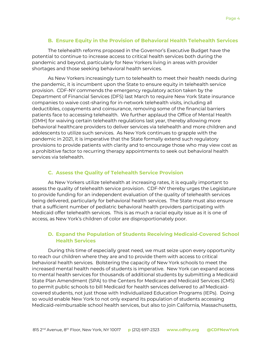#### **B. Ensure Equity in the Provision of Behavioral Health Telehealth Services**

The telehealth reforms proposed in the Governor's Executive Budget have the potential to continue to increase access to critical health services both during the pandemic and beyond, particularly for New Yorkers living in areas with provider shortages and those seeking behavioral health services.

As New Yorkers increasingly turn to telehealth to meet their health needs during the pandemic, it is incumbent upon the State to ensure equity in telehealth service provision. CDF-NY commends the emergency regulatory action taken by the Department of Financial Services (DFS) last March to require New York State insurance companies to waive cost-sharing for in-network telehealth visits, including all deductibles, copayments and coinsurance, removing some of the financial barriers patients face to accessing telehealth. We further applaud the Office of Mental Health (OMH) for waiving certain telehealth regulations last year, thereby allowing more behavioral healthcare providers to deliver services via telehealth and more children and adolescents to utilize such services. As New York continues to grapple with the pandemic in 2021, it is imperative that the State formally extend such regulatory provisions to provide patients with clarity and to encourage those who may view cost as a prohibitive factor to recurring therapy appointments to seek out behavioral health services via telehealth.

#### **C. Assess the Quality of Telehealth Service Provision**

As New Yorkers utilize telehealth at increasing rates, it is equally important to assess the quality of telehealth service provision. CDF-NY thereby urges the Legislature to provide funding for an independent evaluation of the quality of telehealth services being delivered, particularly for behavioral health services. The State must also ensure that a sufficient number of pediatric behavioral health providers participating with Medicaid offer telehealth services. This is as much a racial equity issue as it is one of access, as New York's children of color are disproportionately poor.

#### **D. Expand the Population of Students Receiving Medicaid-Covered School Health Services**

During this time of especially great need, we must seize upon every opportunity to reach our children where they are and to provide them with access to critical behavioral health services. Bolstering the capacity of New York schools to meet the increased mental health needs of students is imperative. New York can expand access to mental health services for thousands of additional students by submitting a Medicaid State Plan Amendment (SPA) to the Centers for Medicare and Medicaid Services (CMS) to permit public schools to bill Medicaid for health services delivered to all Medicaidcovered students, not just those with Individualized Education Programs (IEPs). Doing so would enable New York to not only expand its population of students accessing Medicaid-reimbursable school health services, but also to join California, Massachusetts,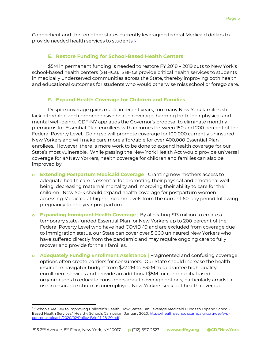Connecticut and the ten other states currently leveraging federal Medicaid dollars to provide needed health services to students.<sup>[6](#page-5-0)</sup>

#### **E. Restore Funding for School-Based Health Centers**

\$5M in permanent funding is needed to restore FY 2018 – 2019 cuts to New York's school-based health centers (SBHCs). SBHCs provide critical health services to students in medically underserved communities across the State, thereby improving both health and educational outcomes for students who would otherwise miss school or forego care.

#### **F. Expand Health Coverage for Children and Families**

Despite coverage gains made in recent years, too many New York families still lack affordable and comprehensive health coverage, harming both their physical and mental well-being. CDF-NY applauds the Governor's proposal to eliminate monthly premiums for Essential Plan enrollees with incomes between 150 and 200 percent of the Federal Poverty Level. Doing so will promote coverage for 100,000 currently uninsured New Yorkers and will make care more affordable for over 400,000 Essential Plan enrollees. However, there is more work to be done to expand health coverage for our State's most vulnerable. While passing the New York Health Act would provide universal coverage for all New Yorkers, health coverage for children and families can also be improved by:

- **o Extending Postpartum Medicaid Coverage |** Granting new mothers access to adequate health care is essential for promoting their physical and emotional wellbeing, decreasing maternal mortality and improving their ability to care for their children. New York should expand health coverage for postpartum women accessing Medicaid at higher income levels from the current 60-day period following pregnancy to one year postpartum.
- **o Expanding Immigrant Health Coverage |** By allocating \$13 million to create a temporary state-funded Essential Plan for New Yorkers up to 200 percent of the Federal Poverty Level who have had COVID-19 and are excluded from coverage due to immigration status, our State can cover over 5,000 uninsured New Yorkers who have suffered directly from the pandemic and may require ongoing care to fully recover and provide for their families.
- **o Adequately Funding Enrollment Assistance |** Fragmented and confusing coverage options often create barriers for consumers. Our State should increase the health insurance navigator budget from \$27.2M to \$32M to guarantee high-quality enrollment services and provide an additional \$5M for community-based organizations to educate consumers about coverage options, particularly amidst a rise in insurance churn as unemployed New Yorkers seek out health coverage.

<span id="page-5-0"></span><sup>6</sup> "Schools Are Key to Improving Children's Health: How States Can Leverage Medicaid Funds to Expand SchoolBased Health Services," Healthy Schools Campaign, January 2020, [https://healthyschoolscampaign.org/dev/wp](https://healthyschoolscampaign.org/dev/wp-content/uploads/2020/02/Policy-Brief-1-28-20.pdf)[content/uploads/2020/02/Policy-Brief-1-28-20.pdf.](https://healthyschoolscampaign.org/dev/wp-content/uploads/2020/02/Policy-Brief-1-28-20.pdf)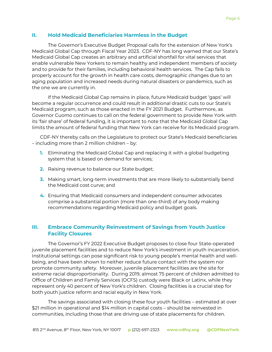#### **II. Hold Medicaid Beneficiaries Harmless in the Budget**

The Governor's Executive Budget Proposal calls for the extension of New York's Medicaid Global Cap through Fiscal Year 2023. CDF-NY has long warned that our State's Medicaid Global Cap creates an arbitrary and artificial shortfall for vital services that enable vulnerable New Yorkers to remain healthy and independent members of society and to provide for their families, including behavioral health services. The Cap fails to properly account for the growth in health care costs, demographic changes due to an aging population and increased needs during natural disasters or pandemics, such as the one we are currently in.

If the Medicaid Global Cap remains in place, future Medicaid budget 'gaps' will become a regular occurrence and could result in additional drastic cuts to our State's Medicaid program, such as those enacted in the FY 2021 Budget. Furthermore, as Governor Cuomo continues to call on the federal government to provide New York with its 'fair share' of federal funding, it is important to note that the Medicaid Global Cap limits the amount of federal funding that New York can receive for its Medicaid program.

CDF-NY thereby calls on the Legislature to protect our State's Medicaid beneficiaries – including more than 2 million children – by:

- **1.** Eliminating the Medicaid Global Cap and replacing it with a global budgeting system that is based on demand for services;
- **2.** Raising revenue to balance our State budget;
- **3.** Making smart, long-term investments that are more likely to substantially bend the Medicaid cost curve; and
- **4.** Ensuring that Medicaid consumers and independent consumer advocates comprise a substantial portion (more than one-third) of any body making recommendations regarding Medicaid policy and budget goals.

# **III. Embrace Community Reinvestment of Savings from Youth Justice Facility Closures**

The Governor's FY 2022 Executive Budget proposes to close four State-operated juvenile placement facilities and to reduce New York's investment in youth incarceration. Institutional settings can pose significant risk to young people's mental health and wellbeing, and have been shown to neither reduce future contact with the system nor promote community safety. Moreover, juvenile placement facilities are the site for extreme racial disproportionality. During 2019, almost 75 percent of children admitted to Office of Children and Family Services (OCFS) custody were Black or Latinx, while they represent only 40 percent of New York's children. Closing facilities is a crucial step for both youth justice reform and racial equity in New York.

The savings associated with closing these four youth facilities – estimated at over \$21 million in operational and \$14 million in capital costs – should be reinvested in communities, including those that are driving use of state placements for children.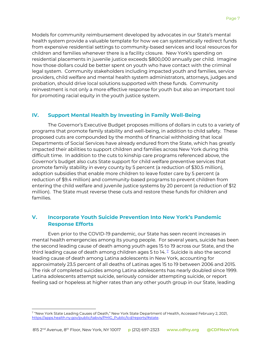Models for community reimbursement developed by advocates in our State's mental health system provide a valuable template for how we can systematically redirect funds from expensive residential settings to community-based services and local resources for children and families whenever there is a facility closure. New York's spending on residential placements in juvenile justice exceeds \$800,000 annually per child. Imagine how those dollars could be better spent on youth who have contact with the criminal legal system. Community stakeholders including impacted youth and families, service providers, child welfare and mental health system administrators, attorneys, judges and probation, should drive local solutions supported with these funds. Community reinvestment is not only a more effective response for youth but also an important tool for promoting racial equity in the youth justice system.

# **IV. Support Mental Health by Investing in Family Well-Being**

The Governor's Executive Budget proposes millions of dollars in cuts to a variety of programs that promote family stability and well-being, in addition to child safety. These proposed cuts are compounded by the months of financial withholding that local Departments of Social Services have already endured from the State, which has greatly impacted their abilities to support children and families across New York during this difficult time. In addition to the cuts to kinship care programs referenced above, the Governor's budget also cuts State support for child welfare preventive services that promote family stability in every county by 5 percent (a reduction of \$30.5 million), adoption subsidies that enable more children to leave foster care by 5 percent (a reduction of \$9.4 million) and community-based programs to prevent children from entering the child welfare and juvenile justice systems by 20 percent (a reduction of \$12 million). The State must reverse these cuts and restore these funds for children and families.

# **V. Incorporate Youth Suicide Prevention Into New York's Pandemic Response Efforts**

Even prior to the COVID-19 pandemic, our State has seen recent increases in mental health emergencies among its young people. For several years, suicide has been the second leading cause of death among youth ages 15 to 19 across our State, and the thirdleading cause of death among children ages 5 to 14.<sup>7</sup> Suicide is also the second leading cause of death among Latina adolescents in New York, accounting for approximately 23.5 percent of all deaths of Latinas ages 15 to 19 between 2006 and 2015. The risk of completed suicides among Latina adolescents has nearly doubled since 1999. Latina adolescents attempt suicide, seriously consider attempting suicide, or report feeling sad or hopeless at higher rates than any other youth group in our State, leading

<span id="page-7-0"></span><sup>7</sup> "New York State Leading Causes of Death," New York State Department of Health, Accessed February 2, 2021, [https://apps.health.ny.gov/public/tabvis/PHIG\\_Public/lcd/reports/#state.](https://apps.health.ny.gov/public/tabvis/PHIG_Public/lcd/reports/#state)